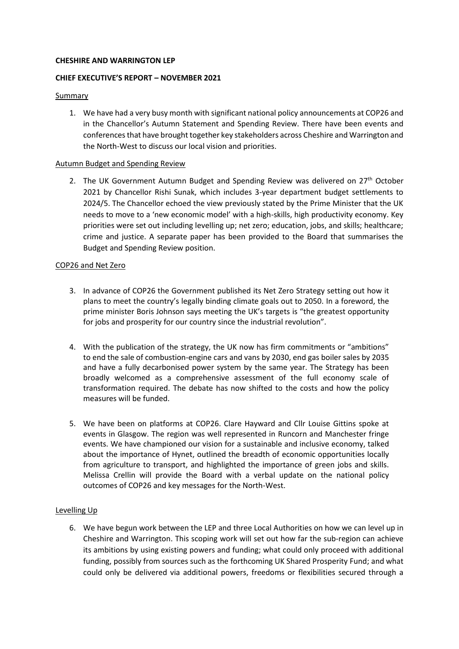# **CHESHIRE AND WARRINGTON LEP**

# **CHIEF EXECUTIVE'S REPORT – NOVEMBER 2021**

## Summary

1. We have had a very busy month with significant national policy announcements at COP26 and in the Chancellor's Autumn Statement and Spending Review. There have been events and conferences that have brought together key stakeholders across Cheshire and Warrington and the North-West to discuss our local vision and priorities.

## Autumn Budget and Spending Review

2. The UK Government Autumn Budget and Spending Review was delivered on  $27<sup>th</sup>$  October 2021 by Chancellor Rishi Sunak, which includes 3-year department budget settlements to 2024/5. The Chancellor echoed the view previously stated by the Prime Minister that the UK needs to move to a 'new economic model' with a high-skills, high productivity economy. Key priorities were set out including levelling up; net zero; education, jobs, and skills; healthcare; crime and justice. A separate paper has been provided to the Board that summarises the Budget and Spending Review position.

## COP26 and Net Zero

- 3. In advance of COP26 the Government published its Net Zero Strategy setting out how it plans to meet the country's legally binding climate goals out to 2050. In a foreword, the prime minister Boris Johnson says meeting the UK's targets is "the greatest opportunity for jobs and prosperity for our country since the industrial revolution".
- 4. With the publication of the strategy, the UK now has firm commitments or "ambitions" to end the sale of combustion-engine cars and vans by 2030, end gas boiler sales by 2035 and have a fully decarbonised power system by the same year. The Strategy has been broadly welcomed as a comprehensive assessment of the full economy scale of transformation required. The debate has now shifted to the costs and how the policy measures will be funded.
- 5. We have been on platforms at COP26. Clare Hayward and Cllr Louise Gittins spoke at events in Glasgow. The region was well represented in Runcorn and Manchester fringe events. We have championed our vision for a sustainable and inclusive economy, talked about the importance of Hynet, outlined the breadth of economic opportunities locally from agriculture to transport, and highlighted the importance of green jobs and skills. Melissa Crellin will provide the Board with a verbal update on the national policy outcomes of COP26 and key messages for the North-West.

# Levelling Up

6. We have begun work between the LEP and three Local Authorities on how we can level up in Cheshire and Warrington. This scoping work will set out how far the sub-region can achieve its ambitions by using existing powers and funding; what could only proceed with additional funding, possibly from sources such as the forthcoming UK Shared Prosperity Fund; and what could only be delivered via additional powers, freedoms or flexibilities secured through a